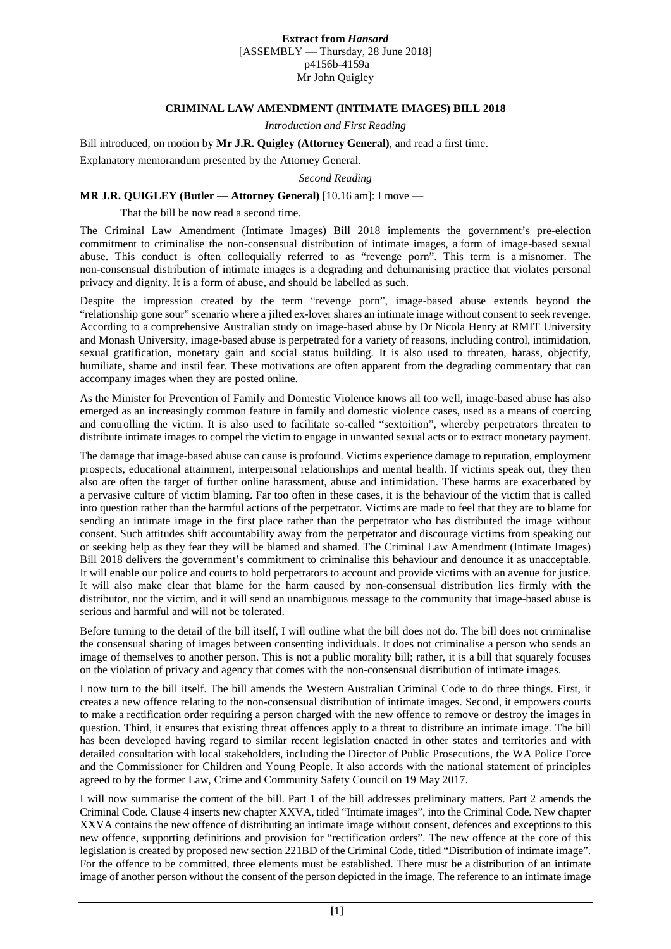## **CRIMINAL LAW AMENDMENT (INTIMATE IMAGES) BILL 2018**

*Introduction and First Reading*

Bill introduced, on motion by **Mr J.R. Quigley (Attorney General)**, and read a first time.

Explanatory memorandum presented by the Attorney General.

*Second Reading*

## **MR J.R. QUIGLEY (Butler — Attorney General)** [10.16 am]: I move —

That the bill be now read a second time.

The Criminal Law Amendment (Intimate Images) Bill 2018 implements the government's pre-election commitment to criminalise the non-consensual distribution of intimate images, a form of image-based sexual abuse. This conduct is often colloquially referred to as "revenge porn". This term is a misnomer. The non-consensual distribution of intimate images is a degrading and dehumanising practice that violates personal privacy and dignity. It is a form of abuse, and should be labelled as such.

Despite the impression created by the term "revenge porn", image-based abuse extends beyond the "relationship gone sour" scenario where a jilted ex-lover shares an intimate image without consent to seek revenge. According to a comprehensive Australian study on image-based abuse by Dr Nicola Henry at RMIT University and Monash University, image-based abuse is perpetrated for a variety of reasons, including control, intimidation, sexual gratification, monetary gain and social status building. It is also used to threaten, harass, objectify, humiliate, shame and instil fear. These motivations are often apparent from the degrading commentary that can accompany images when they are posted online.

As the Minister for Prevention of Family and Domestic Violence knows all too well, image-based abuse has also emerged as an increasingly common feature in family and domestic violence cases, used as a means of coercing and controlling the victim. It is also used to facilitate so-called "sextoition", whereby perpetrators threaten to distribute intimate images to compel the victim to engage in unwanted sexual acts or to extract monetary payment.

The damage that image-based abuse can cause is profound. Victims experience damage to reputation, employment prospects, educational attainment, interpersonal relationships and mental health. If victims speak out, they then also are often the target of further online harassment, abuse and intimidation. These harms are exacerbated by a pervasive culture of victim blaming. Far too often in these cases, it is the behaviour of the victim that is called into question rather than the harmful actions of the perpetrator. Victims are made to feel that they are to blame for sending an intimate image in the first place rather than the perpetrator who has distributed the image without consent. Such attitudes shift accountability away from the perpetrator and discourage victims from speaking out or seeking help as they fear they will be blamed and shamed. The Criminal Law Amendment (Intimate Images) Bill 2018 delivers the government's commitment to criminalise this behaviour and denounce it as unacceptable. It will enable our police and courts to hold perpetrators to account and provide victims with an avenue for justice. It will also make clear that blame for the harm caused by non-consensual distribution lies firmly with the distributor, not the victim, and it will send an unambiguous message to the community that image-based abuse is serious and harmful and will not be tolerated.

Before turning to the detail of the bill itself, I will outline what the bill does not do. The bill does not criminalise the consensual sharing of images between consenting individuals. It does not criminalise a person who sends an image of themselves to another person. This is not a public morality bill; rather, it is a bill that squarely focuses on the violation of privacy and agency that comes with the non-consensual distribution of intimate images.

I now turn to the bill itself. The bill amends the Western Australian Criminal Code to do three things. First, it creates a new offence relating to the non-consensual distribution of intimate images. Second, it empowers courts to make a rectification order requiring a person charged with the new offence to remove or destroy the images in question. Third, it ensures that existing threat offences apply to a threat to distribute an intimate image. The bill has been developed having regard to similar recent legislation enacted in other states and territories and with detailed consultation with local stakeholders, including the Director of Public Prosecutions, the WA Police Force and the Commissioner for Children and Young People. It also accords with the national statement of principles agreed to by the former Law, Crime and Community Safety Council on 19 May 2017.

I will now summarise the content of the bill. Part 1 of the bill addresses preliminary matters. Part 2 amends the Criminal Code*.* Clause 4 inserts new chapter XXVA, titled "Intimate images", into the Criminal Code*.* New chapter XXVA contains the new offence of distributing an intimate image without consent, defences and exceptions to this new offence, supporting definitions and provision for "rectification orders". The new offence at the core of this legislation is created by proposed new section 221BD of the Criminal Code*,* titled "Distribution of intimate image". For the offence to be committed, three elements must be established. There must be a distribution of an intimate image of another person without the consent of the person depicted in the image. The reference to an intimate image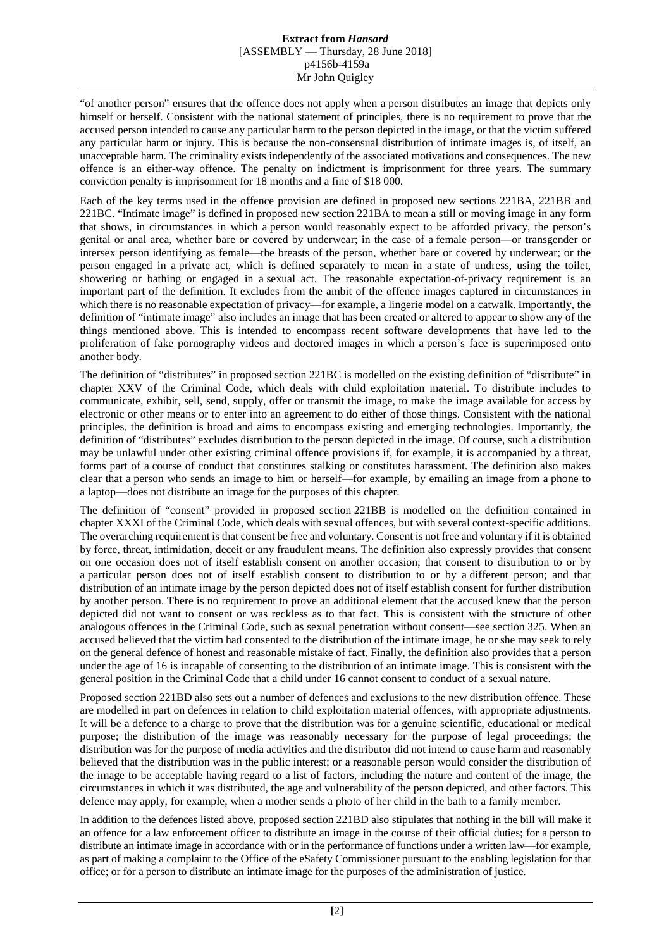## **Extract from** *Hansard* [ASSEMBLY — Thursday, 28 June 2018] p4156b-4159a Mr John Quigley

"of another person" ensures that the offence does not apply when a person distributes an image that depicts only himself or herself. Consistent with the national statement of principles, there is no requirement to prove that the accused person intended to cause any particular harm to the person depicted in the image, or that the victim suffered any particular harm or injury. This is because the non-consensual distribution of intimate images is, of itself, an unacceptable harm. The criminality exists independently of the associated motivations and consequences. The new offence is an either-way offence. The penalty on indictment is imprisonment for three years. The summary conviction penalty is imprisonment for 18 months and a fine of \$18 000.

Each of the key terms used in the offence provision are defined in proposed new sections 221BA, 221BB and 221BC. "Intimate image" is defined in proposed new section 221BA to mean a still or moving image in any form that shows, in circumstances in which a person would reasonably expect to be afforded privacy, the person's genital or anal area, whether bare or covered by underwear; in the case of a female person—or transgender or intersex person identifying as female—the breasts of the person, whether bare or covered by underwear; or the person engaged in a private act, which is defined separately to mean in a state of undress, using the toilet, showering or bathing or engaged in a sexual act. The reasonable expectation-of-privacy requirement is an important part of the definition. It excludes from the ambit of the offence images captured in circumstances in which there is no reasonable expectation of privacy—for example, a lingerie model on a catwalk. Importantly, the definition of "intimate image" also includes an image that has been created or altered to appear to show any of the things mentioned above. This is intended to encompass recent software developments that have led to the proliferation of fake pornography videos and doctored images in which a person's face is superimposed onto another body.

The definition of "distributes" in proposed section 221BC is modelled on the existing definition of "distribute" in chapter XXV of the Criminal Code, which deals with child exploitation material. To distribute includes to communicate, exhibit, sell, send, supply, offer or transmit the image, to make the image available for access by electronic or other means or to enter into an agreement to do either of those things. Consistent with the national principles*,* the definition is broad and aims to encompass existing and emerging technologies. Importantly, the definition of "distributes" excludes distribution to the person depicted in the image. Of course, such a distribution may be unlawful under other existing criminal offence provisions if, for example, it is accompanied by a threat, forms part of a course of conduct that constitutes stalking or constitutes harassment. The definition also makes clear that a person who sends an image to him or herself—for example, by emailing an image from a phone to a laptop—does not distribute an image for the purposes of this chapter.

The definition of "consent" provided in proposed section 221BB is modelled on the definition contained in chapter XXXI of the Criminal Code, which deals with sexual offences, but with several context-specific additions. The overarching requirement is that consent be free and voluntary. Consent is not free and voluntary if it is obtained by force, threat, intimidation, deceit or any fraudulent means. The definition also expressly provides that consent on one occasion does not of itself establish consent on another occasion; that consent to distribution to or by a particular person does not of itself establish consent to distribution to or by a different person; and that distribution of an intimate image by the person depicted does not of itself establish consent for further distribution by another person. There is no requirement to prove an additional element that the accused knew that the person depicted did not want to consent or was reckless as to that fact. This is consistent with the structure of other analogous offences in the Criminal Code, such as sexual penetration without consent—see section 325. When an accused believed that the victim had consented to the distribution of the intimate image, he or she may seek to rely on the general defence of honest and reasonable mistake of fact. Finally, the definition also provides that a person under the age of 16 is incapable of consenting to the distribution of an intimate image. This is consistent with the general position in the Criminal Code that a child under 16 cannot consent to conduct of a sexual nature.

Proposed section 221BD also sets out a number of defences and exclusions to the new distribution offence. These are modelled in part on defences in relation to child exploitation material offences, with appropriate adjustments. It will be a defence to a charge to prove that the distribution was for a genuine scientific, educational or medical purpose; the distribution of the image was reasonably necessary for the purpose of legal proceedings; the distribution was for the purpose of media activities and the distributor did not intend to cause harm and reasonably believed that the distribution was in the public interest; or a reasonable person would consider the distribution of the image to be acceptable having regard to a list of factors, including the nature and content of the image, the circumstances in which it was distributed, the age and vulnerability of the person depicted, and other factors. This defence may apply, for example, when a mother sends a photo of her child in the bath to a family member.

In addition to the defences listed above, proposed section 221BD also stipulates that nothing in the bill will make it an offence for a law enforcement officer to distribute an image in the course of their official duties; for a person to distribute an intimate image in accordance with or in the performance of functions under a written law—for example, as part of making a complaint to the Office of the eSafety Commissioner pursuant to the enabling legislation for that office; or for a person to distribute an intimate image for the purposes of the administration of justice.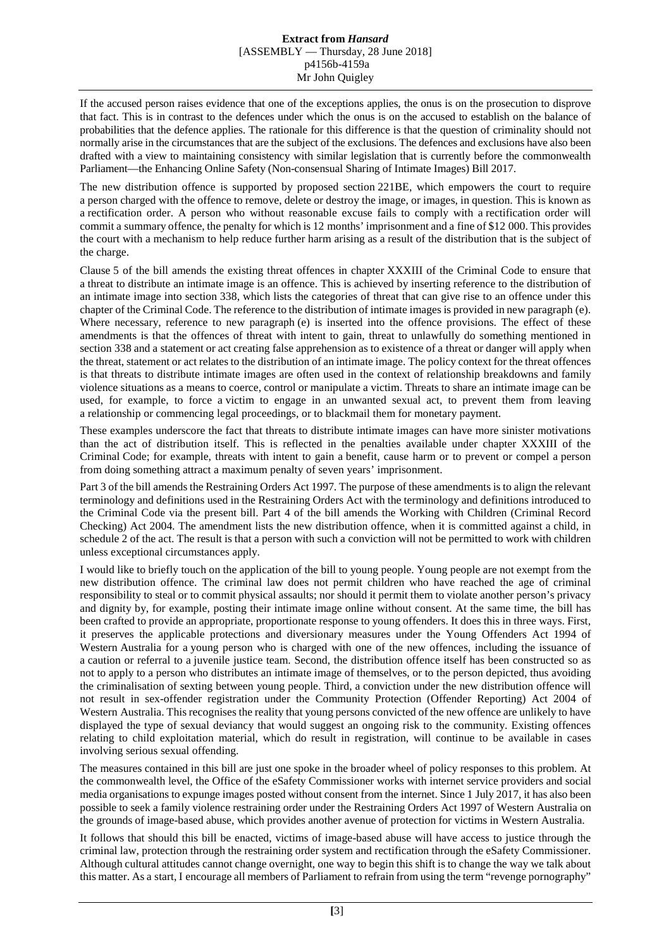If the accused person raises evidence that one of the exceptions applies, the onus is on the prosecution to disprove that fact. This is in contrast to the defences under which the onus is on the accused to establish on the balance of probabilities that the defence applies. The rationale for this difference is that the question of criminality should not normally arise in the circumstances that are the subject of the exclusions. The defences and exclusions have also been drafted with a view to maintaining consistency with similar legislation that is currently before the commonwealth Parliament—the Enhancing Online Safety (Non-consensual Sharing of Intimate Images) Bill 2017.

The new distribution offence is supported by proposed section 221BE, which empowers the court to require a person charged with the offence to remove, delete or destroy the image, or images, in question. This is known as a rectification order. A person who without reasonable excuse fails to comply with a rectification order will commit a summary offence, the penalty for which is 12 months' imprisonment and a fine of \$12 000. This provides the court with a mechanism to help reduce further harm arising as a result of the distribution that is the subject of the charge.

Clause 5 of the bill amends the existing threat offences in chapter XXXIII of the Criminal Code to ensure that a threat to distribute an intimate image is an offence. This is achieved by inserting reference to the distribution of an intimate image into section 338, which lists the categories of threat that can give rise to an offence under this chapter of the Criminal Code. The reference to the distribution of intimate images is provided in new paragraph (e). Where necessary, reference to new paragraph (e) is inserted into the offence provisions. The effect of these amendments is that the offences of threat with intent to gain, threat to unlawfully do something mentioned in section 338 and a statement or act creating false apprehension as to existence of a threat or danger will apply when the threat, statement or act relates to the distribution of an intimate image. The policy context for the threat offences is that threats to distribute intimate images are often used in the context of relationship breakdowns and family violence situations as a means to coerce, control or manipulate a victim. Threats to share an intimate image can be used, for example, to force a victim to engage in an unwanted sexual act, to prevent them from leaving a relationship or commencing legal proceedings, or to blackmail them for monetary payment.

These examples underscore the fact that threats to distribute intimate images can have more sinister motivations than the act of distribution itself. This is reflected in the penalties available under chapter XXXIII of the Criminal Code; for example, threats with intent to gain a benefit, cause harm or to prevent or compel a person from doing something attract a maximum penalty of seven years' imprisonment.

Part 3 of the bill amends the Restraining Orders Act 1997*.* The purpose of these amendments is to align the relevant terminology and definitions used in the Restraining Orders Act with the terminology and definitions introduced to the Criminal Code via the present bill. Part 4 of the bill amends the Working with Children (Criminal Record Checking) Act 2004*.* The amendment lists the new distribution offence, when it is committed against a child, in schedule 2 of the act. The result is that a person with such a conviction will not be permitted to work with children unless exceptional circumstances apply.

I would like to briefly touch on the application of the bill to young people. Young people are not exempt from the new distribution offence. The criminal law does not permit children who have reached the age of criminal responsibility to steal or to commit physical assaults; nor should it permit them to violate another person's privacy and dignity by, for example, posting their intimate image online without consent. At the same time, the bill has been crafted to provide an appropriate, proportionate response to young offenders. It does this in three ways. First, it preserves the applicable protections and diversionary measures under the Young Offenders Act 1994 of Western Australia for a young person who is charged with one of the new offences, including the issuance of a caution or referral to a juvenile justice team. Second, the distribution offence itself has been constructed so as not to apply to a person who distributes an intimate image of themselves, or to the person depicted, thus avoiding the criminalisation of sexting between young people. Third, a conviction under the new distribution offence will not result in sex-offender registration under the Community Protection (Offender Reporting) Act 2004 of Western Australia. This recognises the reality that young persons convicted of the new offence are unlikely to have displayed the type of sexual deviancy that would suggest an ongoing risk to the community. Existing offences relating to child exploitation material, which do result in registration, will continue to be available in cases involving serious sexual offending.

The measures contained in this bill are just one spoke in the broader wheel of policy responses to this problem. At the commonwealth level, the Office of the eSafety Commissioner works with internet service providers and social media organisations to expunge images posted without consent from the internet. Since 1 July 2017, it has also been possible to seek a family violence restraining order under the Restraining Orders Act 1997 of Western Australia on the grounds of image-based abuse, which provides another avenue of protection for victims in Western Australia.

It follows that should this bill be enacted, victims of image-based abuse will have access to justice through the criminal law, protection through the restraining order system and rectification through the eSafety Commissioner. Although cultural attitudes cannot change overnight, one way to begin this shift is to change the way we talk about this matter. As a start, I encourage all members of Parliament to refrain from using the term "revenge pornography"